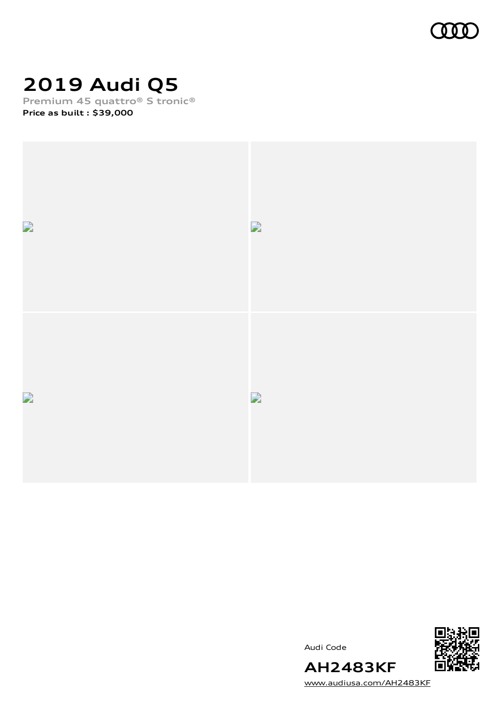

# **2019 Audi Q5**

**Premium 45 quattro® S tronic®**

**Price as built [:](#page-10-0) \$39,000**



Audi Code



[www.audiusa.com/AH2483KF](https://www.audiusa.com/AH2483KF)

**AH2483KF**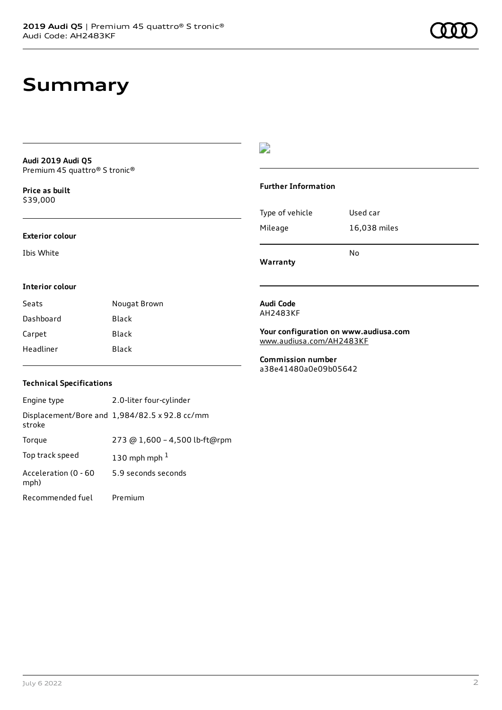### **Summary**

**Audi 2019 Audi Q5** Premium 45 quattro® S tronic®

**Price as buil[t](#page-10-0)** \$39,000

#### **Exterior colour**

Ibis White

### $\overline{\phantom{a}}$

#### **Further Information**

|                 | N٥           |
|-----------------|--------------|
| Mileage         | 16,038 miles |
| Type of vehicle | Used car     |

**Warranty**

#### **Interior colour**

| Seats     | Nougat Brown |
|-----------|--------------|
| Dashboard | Black        |
| Carpet    | <b>Black</b> |
| Headliner | Black        |

#### **Audi Code** AH2483KF

**Your configuration on www.audiusa.com** [www.audiusa.com/AH2483KF](https://www.audiusa.com/AH2483KF)

**Commission number** a38e41480a0e09b05642

#### **Technical Specifications**

| Engine type                  | 2.0-liter four-cylinder                       |
|------------------------------|-----------------------------------------------|
| stroke                       | Displacement/Bore and 1,984/82.5 x 92.8 cc/mm |
| Torque                       | 273 @ 1,600 - 4,500 lb-ft@rpm                 |
| Top track speed              | 130 mph mph $1$                               |
| Acceleration (0 - 60<br>mph) | 5.9 seconds seconds                           |
| Recommended fuel             | Premium                                       |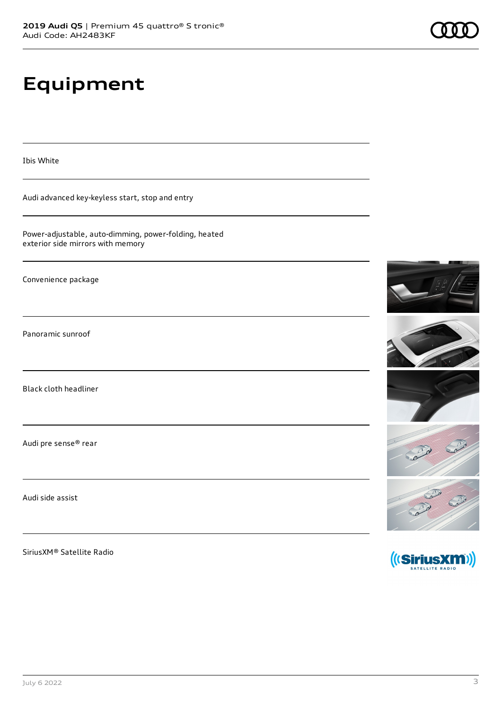# **Equipment**

Ibis White

Audi advanced key-keyless start, stop and entry

Power-adjustable, auto-dimming, power-folding, heated exterior side mirrors with memory

Convenience package

Panoramic sunroof

Black cloth headliner

Audi pre sense® rear

Audi side assist

SiriusXM® Satellite Radio









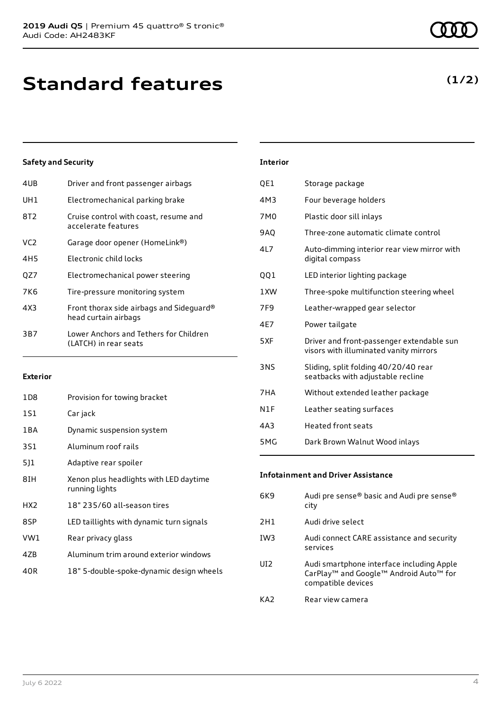| 4UB | Driver and front passenger airbags                               |
|-----|------------------------------------------------------------------|
| UH1 | Electromechanical parking brake                                  |
| 8T2 | Cruise control with coast, resume and<br>accelerate features     |
| VC2 | Garage door opener (HomeLink®)                                   |
| 4H5 | Electronic child locks                                           |
| QZ7 | Electromechanical power steering                                 |
| 7K6 | Tire-pressure monitoring system                                  |
| 4X3 | Front thorax side airbags and Sideguard®<br>head curtain airbags |
| 3B7 | Lower Anchors and Tethers for Children<br>(LATCH) in rear seats  |
|     |                                                                  |

#### **Exterior**

| 1D8             | Provision for towing bracket                             |
|-----------------|----------------------------------------------------------|
| 1S1             | Car jack                                                 |
| 1 B A           | Dynamic suspension system                                |
| 3S1             | Aluminum roof rails                                      |
| 511             | Adaptive rear spoiler                                    |
| 8IH             | Xenon plus headlights with LED daytime<br>running lights |
| HX <sub>2</sub> | 18" 235/60 all-season tires                              |
| 8SP             | LED taillights with dynamic turn signals                 |
| VW1             | Rear privacy glass                                       |
| 4ZB             | Aluminum trim around exterior windows                    |
| 40R             | 18" 5-double-spoke-dynamic design wheels                 |

|    | <b>Interior</b> |                                      |
|----|-----------------|--------------------------------------|
|    | QE1             | Storage package                      |
|    | 4M3             | Four beverage holders                |
| ٦d | 7M0             | Plastic door sill inlays             |
|    | <b>9AQ</b>      | Three-zone automatic climate control |
|    |                 |                                      |

- 4L7 Auto-dimming interior rear view mirror with digital compass
- QQ1 LED interior lighting package
- 1XW Three-spoke multifunction steering wheel
- 7F9 Leather-wrapped gear selector
- 4E7 Power tailgate
- 5XF Driver and front-passenger extendable sun visors with illuminated vanity mirrors
- 3NS Sliding, split folding 40/20/40 rear seatbacks with adjustable recline
- 7HA Without extended leather package
- N1F Leather seating surfaces
- 4A3 Heated front seats
- 5MG Dark Brown Walnut Wood inlays

#### **Infotainment and Driver Assistance**

| 6K9             | Audi pre sense® basic and Audi pre sense®<br>city                                                                                             |
|-----------------|-----------------------------------------------------------------------------------------------------------------------------------------------|
| 2H1             | Audi drive select                                                                                                                             |
| IW <sub>3</sub> | Audi connect CARE assistance and security<br>services                                                                                         |
| UD <sub>2</sub> | Audi smartphone interface including Apple<br>CarPlay <sup>™</sup> and Google <sup>™</sup> Android Auto <sup>™</sup> for<br>compatible devices |
| KA2             | Rear view camera                                                                                                                              |

### **(1/2)**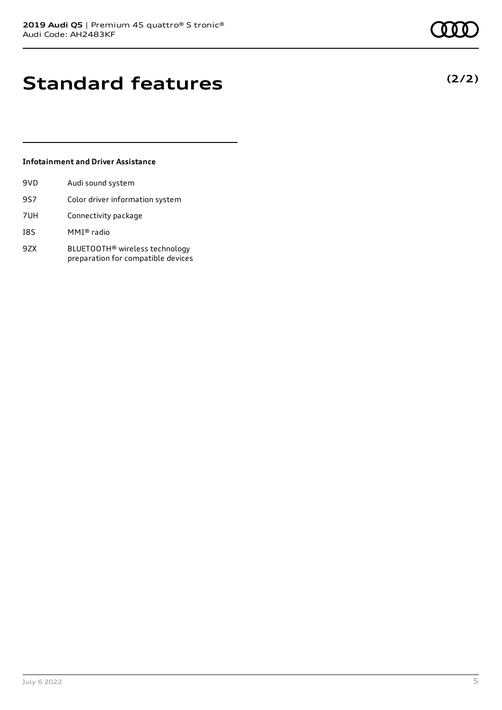## **Standard features**

#### **Infotainment and Driver Assistance**

| 9VD | Audi sound system                                                                |
|-----|----------------------------------------------------------------------------------|
| 9S7 | Color driver information system                                                  |
| 7UH | Connectivity package                                                             |
| I8S | MMI® radio                                                                       |
| 9ZX | BLUETOOTH <sup>®</sup> wireless technology<br>preparation for compatible devices |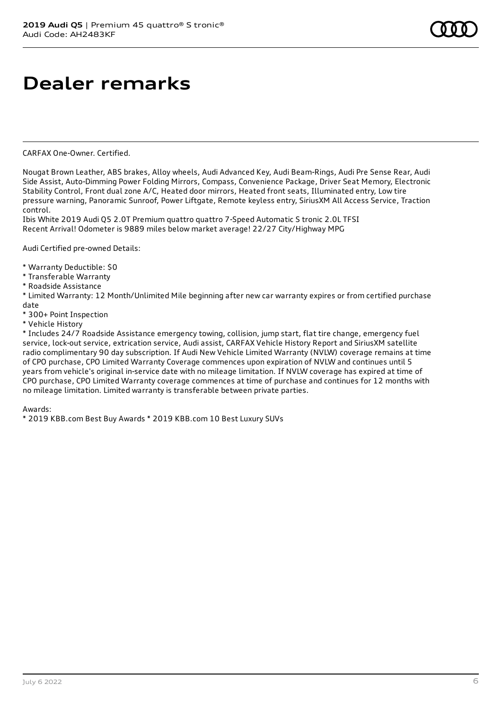# **Dealer remarks**

CARFAX One-Owner. Certified.

Nougat Brown Leather, ABS brakes, Alloy wheels, Audi Advanced Key, Audi Beam-Rings, Audi Pre Sense Rear, Audi Side Assist, Auto-Dimming Power Folding Mirrors, Compass, Convenience Package, Driver Seat Memory, Electronic Stability Control, Front dual zone A/C, Heated door mirrors, Heated front seats, Illuminated entry, Low tire pressure warning, Panoramic Sunroof, Power Liftgate, Remote keyless entry, SiriusXM All Access Service, Traction control.

Ibis White 2019 Audi Q5 2.0T Premium quattro quattro 7-Speed Automatic S tronic 2.0L TFSI Recent Arrival! Odometer is 9889 miles below market average! 22/27 City/Highway MPG

Audi Certified pre-owned Details:

- \* Warranty Deductible: \$0
- \* Transferable Warranty
- \* Roadside Assistance

\* Limited Warranty: 12 Month/Unlimited Mile beginning after new car warranty expires or from certified purchase date

- \* 300+ Point Inspection
- \* Vehicle History

\* Includes 24/7 Roadside Assistance emergency towing, collision, jump start, flat tire change, emergency fuel service, lock-out service, extrication service, Audi assist, CARFAX Vehicle History Report and SiriusXM satellite radio complimentary 90 day subscription. If Audi New Vehicle Limited Warranty (NVLW) coverage remains at time of CPO purchase, CPO Limited Warranty Coverage commences upon expiration of NVLW and continues until 5 years from vehicle's original in-service date with no mileage limitation. If NVLW coverage has expired at time of CPO purchase, CPO Limited Warranty coverage commences at time of purchase and continues for 12 months with no mileage limitation. Limited warranty is transferable between private parties.

Awards:

\* 2019 KBB.com Best Buy Awards \* 2019 KBB.com 10 Best Luxury SUVs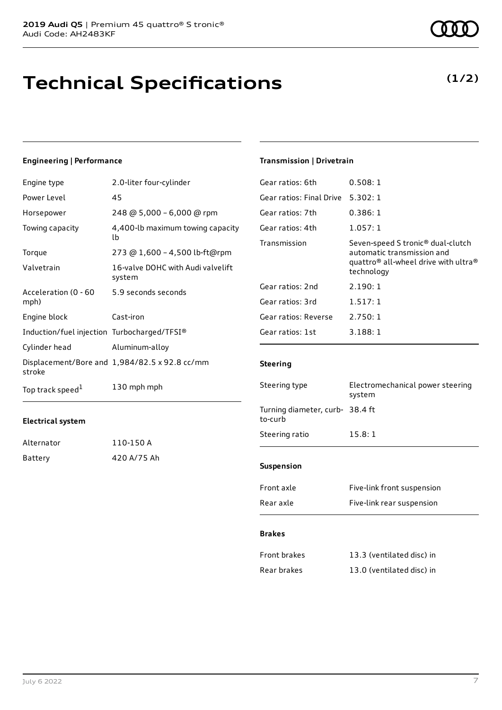### **Technical Specifications**

#### **Engineering | Performance**

| Engine type                                 | 2.0-liter four-cylinder                       |
|---------------------------------------------|-----------------------------------------------|
| Power Level                                 | 45                                            |
| Horsepower                                  | 248 @ 5,000 - 6,000 @ rpm                     |
| Towing capacity                             | 4,400-lb maximum towing capacity<br>lb        |
| Torque                                      | 273 @ 1,600 - 4,500 lb-ft@rpm                 |
| Valvetrain                                  | 16-valve DOHC with Audi valvelift<br>system   |
| Acceleration (0 - 60<br>mph)                | 5.9 seconds seconds                           |
| Engine block                                | Cast-iron                                     |
| Induction/fuel injection Turbocharged/TFSI® |                                               |
| Cylinder head                               | Aluminum-alloy                                |
| stroke                                      | Displacement/Bore and 1,984/82.5 x 92.8 cc/mm |
| Top track speed <sup>1</sup>                | 130 mph mph                                   |

#### **Electrical system**

| Alternator | 110-150 A   |
|------------|-------------|
| Battery    | 420 A/75 Ah |

### **Transmission | Drivetrain**

| Gear ratios: 6th         | 0.508:1                                                                                                                                                   |
|--------------------------|-----------------------------------------------------------------------------------------------------------------------------------------------------------|
| Gear ratios: Final Drive | 5.302:1                                                                                                                                                   |
| Gear ratios: 7th         | 0.386:1                                                                                                                                                   |
| Gear ratios: 4th         | 1.057:1                                                                                                                                                   |
| Transmission             | Seven-speed S tronic <sup>®</sup> dual-clutch<br>automatic transmission and<br>quattro <sup>®</sup> all-wheel drive with ultra <sup>®</sup><br>technology |
| Gear ratios: 2nd         | 2.190:1                                                                                                                                                   |
| Gear ratios: 3rd         | 1.517:1                                                                                                                                                   |
| Gear ratios: Reverse     | 2.750:1                                                                                                                                                   |
| Gear ratios: 1st         | 3.188:1                                                                                                                                                   |
|                          |                                                                                                                                                           |

#### **Steering**

| Steering type                              | Electromechanical power steering<br>system |
|--------------------------------------------|--------------------------------------------|
| Turning diameter, curb- 38.4 ft<br>to-curb |                                            |
| Steering ratio                             | 15.8:1                                     |
|                                            |                                            |
| <b>Suspension</b>                          |                                            |
| Front axle                                 | Five-link front suspension                 |
| Rear axle                                  | Five-link rear suspension                  |

#### **Brakes**

| Front brakes | 13.3 (ventilated disc) in |
|--------------|---------------------------|
| Rear brakes  | 13.0 (ventilated disc) in |

### **(1/2)**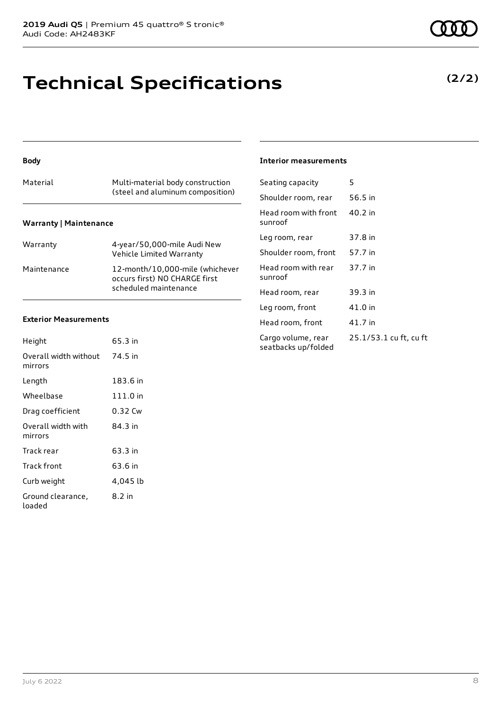### **Technical Specifications**

#### **Body**

| Material                      | Multi-material body construction<br>(steel and aluminum composition) |
|-------------------------------|----------------------------------------------------------------------|
| <b>Warranty   Maintenance</b> |                                                                      |

| Warranty    | 4-year/50,000-mile Audi New<br>Vehicle Limited Warranty                                   |
|-------------|-------------------------------------------------------------------------------------------|
| Maintenance | 12-month/10,000-mile (whichever<br>occurs first) NO CHARGE first<br>scheduled maintenance |

#### **Exterior Measurements**

| Height                           | 65.3 in  |
|----------------------------------|----------|
| Overall width without<br>mirrors | 74.5 in  |
| Length                           | 183.6 in |
| Wheelbase                        | 111.0 in |
| Drag coefficient                 | 0.32 Cw  |
| Overall width with<br>mirrors    | 84.3 in  |
| Track rear                       | 63.3 in  |
| Track front                      | 63.6 in  |
| Curb weight                      | 4,045 lb |
| Ground clearance,<br>loaded      | 8.2 in   |

#### **Interior measurements**

| Seating capacity                          | 5                      |
|-------------------------------------------|------------------------|
| Shoulder room, rear                       | 56.5 in                |
| Head room with front<br>sunroof           | 40.2 in                |
| Leg room, rear                            | 37.8 in                |
| Shoulder room, front                      | 57.7 in                |
| Head room with rear<br>sunroof            | 37.7 in                |
| Head room, rear                           | 39.3 in                |
| Leg room, front                           | 41.0 in                |
| Head room, front                          | 41.7 in                |
| Cargo volume, rear<br>seatbacks up/folded | 25.1/53.1 cu ft, cu ft |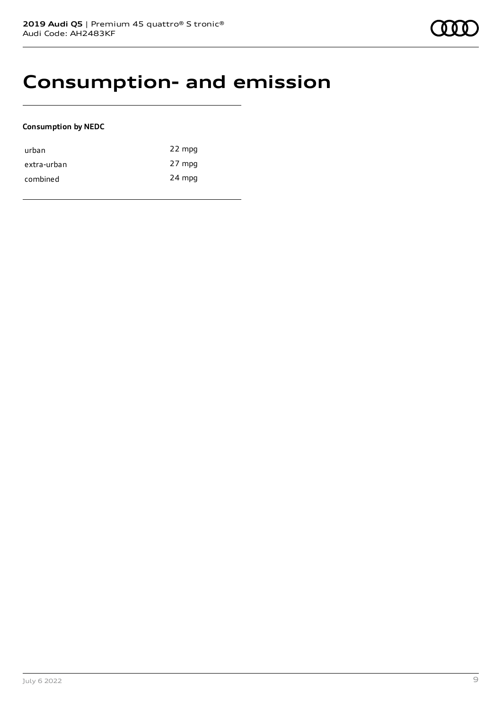### **Consumption- and emission**

#### **Consumption by NEDC**

| urban       | 22 mpg |
|-------------|--------|
| extra-urban | 27 mpg |
| combined    | 24 mpg |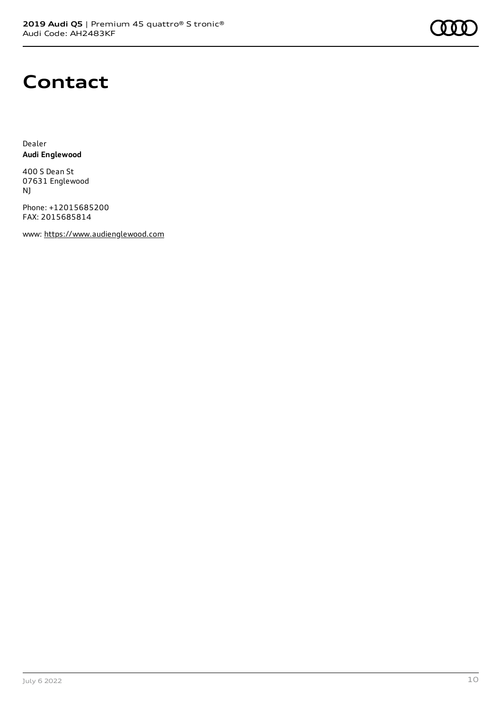

### **Contact**

Dealer **Audi Englewood**

400 S Dean St 07631 Englewood NJ

Phone: +12015685200 FAX: 2015685814

www: [https://www.audienglewood.com](https://www.audienglewood.com/)